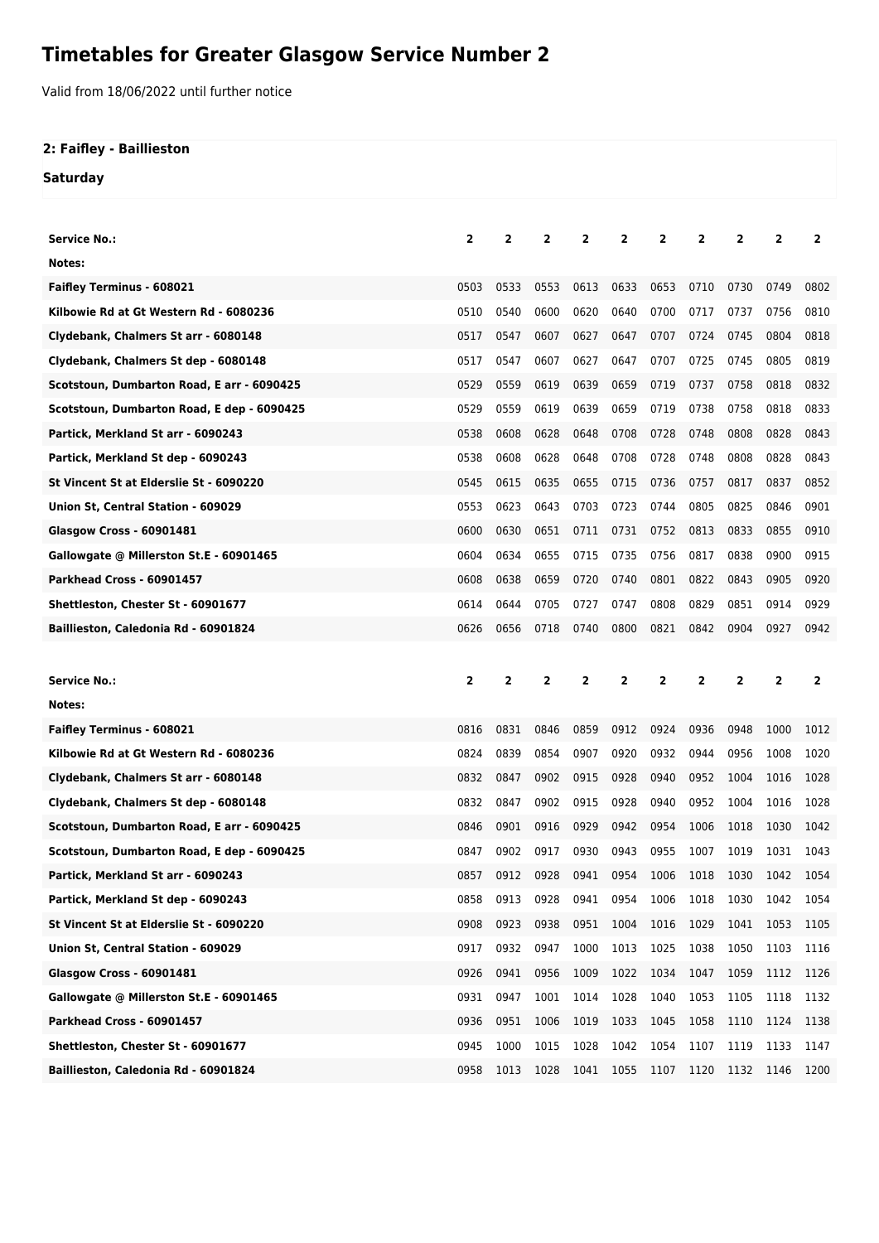## **Timetables for Greater Glasgow Service Number 2**

Valid from 18/06/2022 until further notice

## **2: Faifley - Baillieston**

**Saturday**

| <b>Service No.:</b>                                                        | 2            | 2            | 2            | 2            | 2                       | $\overline{2}$ | 2                   | 2            | 2            | 2            |
|----------------------------------------------------------------------------|--------------|--------------|--------------|--------------|-------------------------|----------------|---------------------|--------------|--------------|--------------|
| Notes:                                                                     |              |              |              |              |                         |                |                     |              |              |              |
| <b>Faifley Terminus - 608021</b>                                           | 0503         | 0533         | 0553         | 0613         | 0633                    | 0653           | 0710                | 0730         | 0749         | 0802         |
| Kilbowie Rd at Gt Western Rd - 6080236                                     | 0510         | 0540         | 0600         | 0620         | 0640                    | 0700           | 0717                | 0737         | 0756         | 0810         |
| Clydebank, Chalmers St arr - 6080148                                       | 0517         | 0547         | 0607         | 0627         | 0647                    | 0707           | 0724                | 0745         | 0804         | 0818         |
| Clydebank, Chalmers St dep - 6080148                                       | 0517         | 0547         | 0607         | 0627         | 0647                    | 0707           | 0725                | 0745         | 0805         | 0819         |
| Scotstoun, Dumbarton Road, E arr - 6090425                                 | 0529         | 0559         | 0619         | 0639         | 0659                    | 0719           | 0737                | 0758         | 0818         | 0832         |
| Scotstoun, Dumbarton Road, E dep - 6090425                                 | 0529         | 0559         | 0619         | 0639         | 0659                    | 0719           | 0738                | 0758         | 0818         | 0833         |
| Partick, Merkland St arr - 6090243                                         | 0538         | 0608         | 0628         | 0648         | 0708                    | 0728           | 0748                | 0808         | 0828         | 0843         |
| Partick, Merkland St dep - 6090243                                         | 0538         | 0608         | 0628         | 0648         | 0708                    | 0728           | 0748                | 0808         | 0828         | 0843         |
| St Vincent St at Elderslie St - 6090220                                    | 0545         | 0615         | 0635         | 0655         | 0715                    | 0736           | 0757                | 0817         | 0837         | 0852         |
| Union St, Central Station - 609029                                         | 0553         | 0623         | 0643         | 0703         | 0723                    | 0744           | 0805                | 0825         | 0846         | 0901         |
| <b>Glasgow Cross - 60901481</b>                                            | 0600         | 0630         | 0651         | 0711         | 0731                    | 0752           | 0813                | 0833         | 0855         | 0910         |
| Gallowgate @ Millerston St.E - 60901465                                    | 0604         | 0634         | 0655         | 0715         | 0735                    | 0756           | 0817                | 0838         | 0900         | 0915         |
| Parkhead Cross - 60901457                                                  | 0608         | 0638         | 0659         | 0720         | 0740                    | 0801           | 0822                | 0843         | 0905         | 0920         |
| Shettleston, Chester St - 60901677                                         | 0614         | 0644         | 0705         | 0727         | 0747                    | 0808           | 0829                | 0851         | 0914         | 0929         |
| Baillieston, Caledonia Rd - 60901824                                       | 0626         | 0656         | 0718         | 0740         | 0800                    | 0821           | 0842                | 0904         | 0927         | 0942         |
|                                                                            |              |              |              |              |                         |                |                     |              |              |              |
|                                                                            |              |              |              |              |                         |                |                     |              |              |              |
|                                                                            |              |              |              |              |                         |                |                     |              |              |              |
| <b>Service No.:</b>                                                        | 2            | 2            | 2            | 2            | $\overline{\mathbf{2}}$ | 2              | 2                   | 2            | 2            | 2            |
| Notes:                                                                     |              |              |              |              |                         |                |                     |              |              |              |
| <b>Faifley Terminus - 608021</b>                                           | 0816         | 0831         | 0846         | 0859         | 0912                    | 0924           | 0936                | 0948         | 1000         | 1012         |
| Kilbowie Rd at Gt Western Rd - 6080236                                     | 0824         | 0839         | 0854         | 0907         | 0920                    | 0932           | 0944                | 0956         | 1008         | 1020         |
| Clydebank, Chalmers St arr - 6080148                                       | 0832         | 0847         | 0902         | 0915         | 0928                    | 0940           | 0952                | 1004         | 1016         | 1028         |
| Clydebank, Chalmers St dep - 6080148                                       | 0832         | 0847         | 0902         | 0915         | 0928                    | 0940           | 0952                | 1004         | 1016         | 1028         |
| Scotstoun, Dumbarton Road, E arr - 6090425                                 | 0846         | 0901         | 0916         | 0929         | 0942                    | 0954           | 1006                | 1018         | 1030         | 1042         |
| Scotstoun, Dumbarton Road, E dep - 6090425                                 | 0847         | 0902         | 0917         | 0930         | 0943                    | 0955           | 1007                | 1019         | 1031         | 1043         |
| Partick, Merkland St arr - 6090243                                         | 0857         | 0912         | 0928         | 0941         |                         |                | 0954 1006 1018 1030 |              | 1042         | 1054         |
| Partick, Merkland St dep - 6090243                                         | 0858         | 0913         | 0928         | 0941         | 0954                    | 1006           | 1018                | 1030         | 1042         | 1054         |
| St Vincent St at Elderslie St - 6090220                                    | 0908         | 0923         | 0938         | 0951         | 1004                    | 1016           | 1029                | 1041         | 1053         | 1105         |
| Union St, Central Station - 609029                                         | 0917         | 0932         | 0947         | 1000         | 1013                    | 1025           | 1038                | 1050         | 1103         | 1116         |
| <b>Glasgow Cross - 60901481</b>                                            | 0926         | 0941         | 0956         | 1009         | 1022                    | 1034           | 1047                | 1059         | 1112         | 1126         |
| Gallowgate @ Millerston St.E - 60901465                                    | 0931         | 0947         | 1001         | 1014         | 1028                    | 1040           | 1053                | 1105         | 1118         | 1132         |
| Parkhead Cross - 60901457                                                  | 0936         | 0951         | 1006         | 1019         | 1033                    | 1045           | 1058                | 1110         | 1124         | 1138         |
| Shettleston, Chester St - 60901677<br>Baillieston, Caledonia Rd - 60901824 | 0945<br>0958 | 1000<br>1013 | 1015<br>1028 | 1028<br>1041 | 1042<br>1055            | 1054<br>1107   | 1107<br>1120        | 1119<br>1132 | 1133<br>1146 | 1147<br>1200 |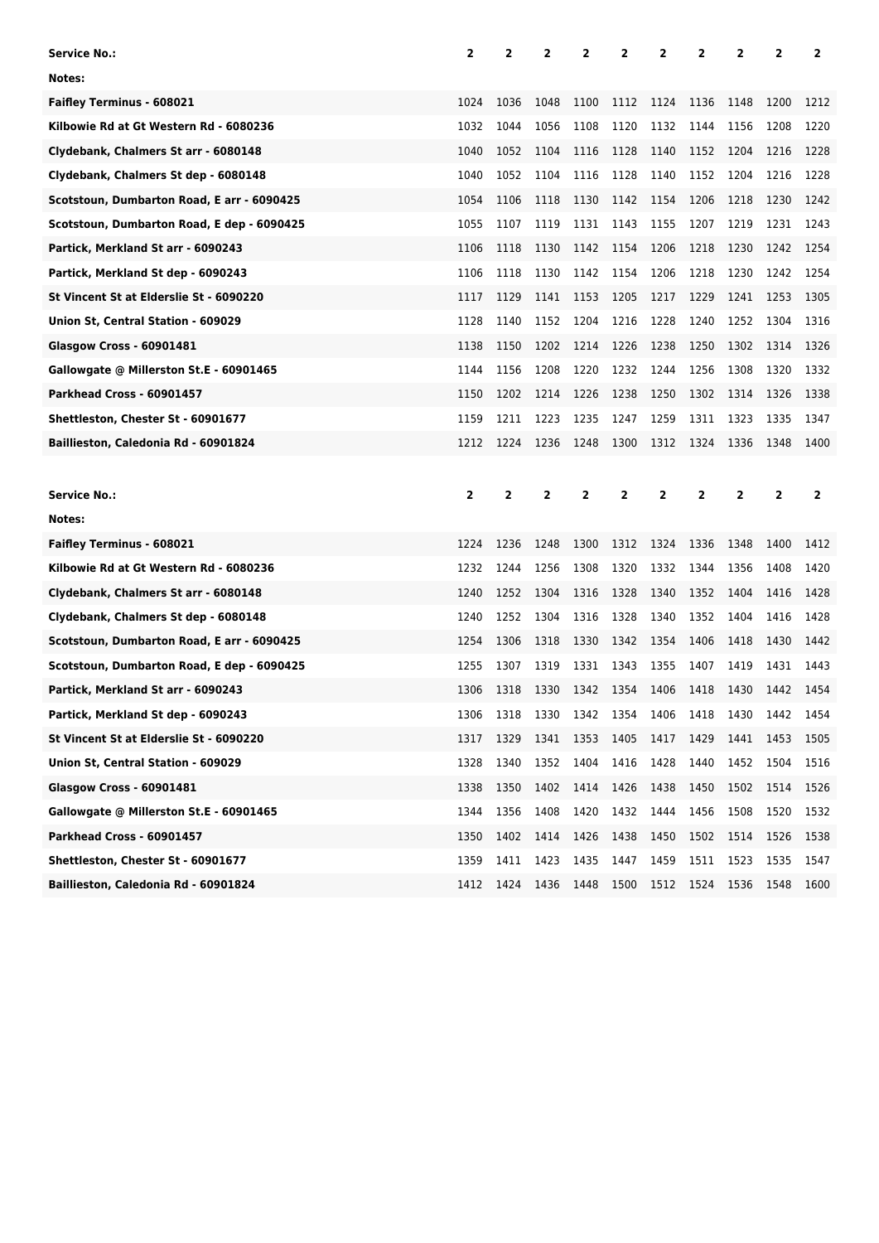| <b>Service No.:</b>                        | 2    | 2    | 2    | 2    | 2    | 2              | 2    | 2    | 2              | 2    |
|--------------------------------------------|------|------|------|------|------|----------------|------|------|----------------|------|
| Notes:                                     |      |      |      |      |      |                |      |      |                |      |
| <b>Faifley Terminus - 608021</b>           | 1024 | 1036 | 1048 | 1100 | 1112 | 1124           | 1136 | 1148 | 1200           | 1212 |
| Kilbowie Rd at Gt Western Rd - 6080236     | 1032 | 1044 | 1056 | 1108 | 1120 | 1132           | 1144 | 1156 | 1208           | 1220 |
| Clydebank, Chalmers St arr - 6080148       | 1040 | 1052 | 1104 | 1116 | 1128 | 1140           | 1152 | 1204 | 1216           | 1228 |
| Clydebank, Chalmers St dep - 6080148       | 1040 | 1052 | 1104 | 1116 | 1128 | 1140           | 1152 | 1204 | 1216           | 1228 |
| Scotstoun, Dumbarton Road, E arr - 6090425 | 1054 | 1106 | 1118 | 1130 | 1142 | 1154           | 1206 | 1218 | 1230           | 1242 |
| Scotstoun, Dumbarton Road, E dep - 6090425 | 1055 | 1107 | 1119 | 1131 | 1143 | 1155           | 1207 | 1219 | 1231           | 1243 |
| Partick, Merkland St arr - 6090243         | 1106 | 1118 | 1130 | 1142 | 1154 | 1206           | 1218 | 1230 | 1242           | 1254 |
| Partick, Merkland St dep - 6090243         | 1106 | 1118 | 1130 | 1142 | 1154 | 1206           | 1218 | 1230 | 1242           | 1254 |
| St Vincent St at Elderslie St - 6090220    | 1117 | 1129 | 1141 | 1153 | 1205 | 1217           | 1229 | 1241 | 1253           | 1305 |
| Union St, Central Station - 609029         | 1128 | 1140 | 1152 | 1204 | 1216 | 1228           | 1240 | 1252 | 1304           | 1316 |
| <b>Glasgow Cross - 60901481</b>            | 1138 | 1150 | 1202 | 1214 | 1226 | 1238           | 1250 | 1302 | 1314           | 1326 |
| Gallowgate @ Millerston St.E - 60901465    | 1144 | 1156 | 1208 | 1220 | 1232 | 1244           | 1256 | 1308 | 1320           | 1332 |
| Parkhead Cross - 60901457                  | 1150 | 1202 | 1214 | 1226 | 1238 | 1250           | 1302 | 1314 | 1326           | 1338 |
| Shettleston, Chester St - 60901677         | 1159 | 1211 | 1223 | 1235 | 1247 | 1259           | 1311 | 1323 | 1335           | 1347 |
| Baillieston, Caledonia Rd - 60901824       | 1212 | 1224 | 1236 | 1248 | 1300 | 1312           | 1324 | 1336 | 1348           | 1400 |
|                                            |      |      |      |      |      |                |      |      |                |      |
|                                            |      |      |      |      |      |                |      |      |                |      |
| <b>Service No.:</b>                        | 2    | 2    | 2    | 2    | 2    | $\overline{2}$ | 2    | 2    | $\overline{2}$ | 2    |
| Notes:                                     |      |      |      |      |      |                |      |      |                |      |
| <b>Faifley Terminus - 608021</b>           | 1224 | 1236 | 1248 | 1300 | 1312 | 1324           | 1336 | 1348 | 1400           | 1412 |
| Kilbowie Rd at Gt Western Rd - 6080236     | 1232 | 1244 | 1256 | 1308 | 1320 | 1332           | 1344 | 1356 | 1408           | 1420 |
| Clydebank, Chalmers St arr - 6080148       | 1240 | 1252 | 1304 | 1316 | 1328 | 1340           | 1352 | 1404 | 1416           | 1428 |
| Clydebank, Chalmers St dep - 6080148       | 1240 | 1252 | 1304 | 1316 | 1328 | 1340           | 1352 | 1404 | 1416           | 1428 |
| Scotstoun, Dumbarton Road, E arr - 6090425 | 1254 | 1306 | 1318 | 1330 | 1342 | 1354           | 1406 | 1418 | 1430           | 1442 |
| Scotstoun, Dumbarton Road, E dep - 6090425 | 1255 | 1307 | 1319 | 1331 | 1343 | 1355           | 1407 | 1419 | 1431           | 1443 |
| Partick, Merkland St arr - 6090243         | 1306 | 1318 | 1330 | 1342 | 1354 | 1406           | 1418 | 1430 | 1442           | 1454 |
| Partick, Merkland St dep - 6090243         | 1306 | 1318 | 1330 | 1342 | 1354 | 1406           | 1418 | 1430 | 1442           | 1454 |
| St Vincent St at Elderslie St - 6090220    | 1317 | 1329 | 1341 | 1353 | 1405 | 1417           | 1429 | 1441 | 1453           | 1505 |
| Union St, Central Station - 609029         | 1328 | 1340 | 1352 | 1404 | 1416 | 1428           | 1440 | 1452 | 1504           | 1516 |
| <b>Glasgow Cross - 60901481</b>            | 1338 | 1350 | 1402 | 1414 | 1426 | 1438           | 1450 | 1502 | 1514           | 1526 |
| Gallowgate @ Millerston St.E - 60901465    | 1344 | 1356 | 1408 | 1420 | 1432 | 1444           | 1456 | 1508 | 1520           | 1532 |
| Parkhead Cross - 60901457                  | 1350 | 1402 | 1414 | 1426 | 1438 | 1450           | 1502 | 1514 | 1526           | 1538 |
| Shettleston, Chester St - 60901677         | 1359 | 1411 | 1423 | 1435 | 1447 | 1459           | 1511 | 1523 | 1535           | 1547 |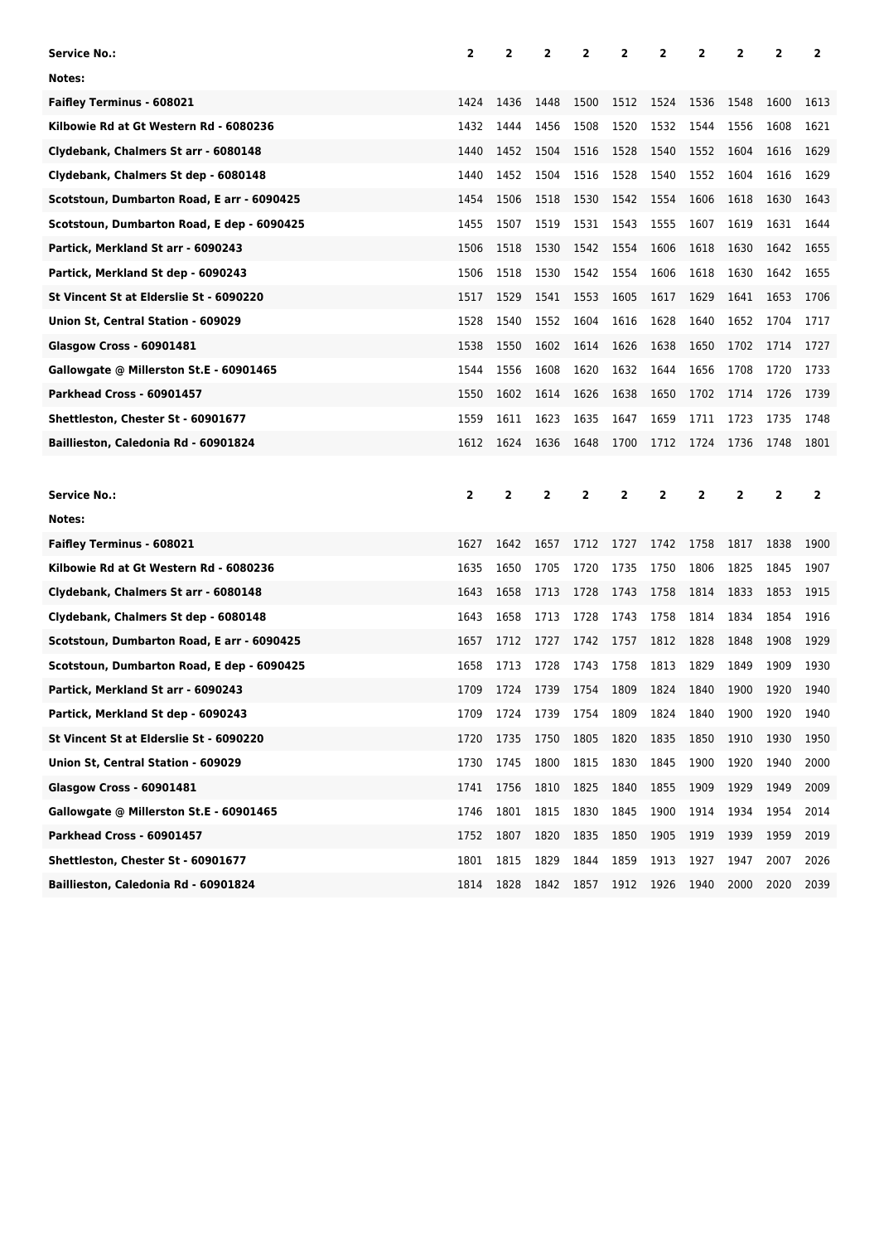| <b>Service No.:</b>                        | 2    | 2    | 2            | 2    | 2    | 2              | 2    | 2    | 2              | 2    |
|--------------------------------------------|------|------|--------------|------|------|----------------|------|------|----------------|------|
| Notes:                                     |      |      |              |      |      |                |      |      |                |      |
| <b>Faifley Terminus - 608021</b>           | 1424 | 1436 | 1448         | 1500 | 1512 | 1524           | 1536 | 1548 | 1600           | 1613 |
| Kilbowie Rd at Gt Western Rd - 6080236     | 1432 | 1444 | 1456         | 1508 | 1520 | 1532           | 1544 | 1556 | 1608           | 1621 |
| Clydebank, Chalmers St arr - 6080148       | 1440 | 1452 | 1504         | 1516 | 1528 | 1540           | 1552 | 1604 | 1616           | 1629 |
| Clydebank, Chalmers St dep - 6080148       | 1440 | 1452 | 1504         | 1516 | 1528 | 1540           | 1552 | 1604 | 1616           | 1629 |
| Scotstoun, Dumbarton Road, E arr - 6090425 | 1454 | 1506 | 1518         | 1530 | 1542 | 1554           | 1606 | 1618 | 1630           | 1643 |
| Scotstoun, Dumbarton Road, E dep - 6090425 | 1455 | 1507 | 1519         | 1531 | 1543 | 1555           | 1607 | 1619 | 1631           | 1644 |
| Partick, Merkland St arr - 6090243         | 1506 | 1518 | 1530         | 1542 | 1554 | 1606           | 1618 | 1630 | 1642           | 1655 |
| Partick, Merkland St dep - 6090243         | 1506 | 1518 | 1530         | 1542 | 1554 | 1606           | 1618 | 1630 | 1642           | 1655 |
| St Vincent St at Elderslie St - 6090220    | 1517 | 1529 | 1541         | 1553 | 1605 | 1617           | 1629 | 1641 | 1653           | 1706 |
| Union St, Central Station - 609029         | 1528 | 1540 | 1552         | 1604 | 1616 | 1628           | 1640 | 1652 | 1704           | 1717 |
| <b>Glasgow Cross - 60901481</b>            | 1538 | 1550 | 1602         | 1614 | 1626 | 1638           | 1650 | 1702 | 1714           | 1727 |
| Gallowgate @ Millerston St.E - 60901465    | 1544 | 1556 | 1608         | 1620 | 1632 | 1644           | 1656 | 1708 | 1720           | 1733 |
| Parkhead Cross - 60901457                  | 1550 | 1602 | 1614         | 1626 | 1638 | 1650           | 1702 | 1714 | 1726           | 1739 |
| Shettleston, Chester St - 60901677         | 1559 | 1611 | 1623         | 1635 | 1647 | 1659           | 1711 | 1723 | 1735           | 1748 |
| Baillieston, Caledonia Rd - 60901824       | 1612 | 1624 | 1636         | 1648 | 1700 | 1712           | 1724 | 1736 | 1748           | 1801 |
|                                            |      |      |              |      |      |                |      |      |                |      |
|                                            |      |      |              |      |      |                |      |      |                |      |
| <b>Service No.:</b>                        | 2    | 2    | $\mathbf{2}$ | 2    | 2    | $\overline{2}$ | 2    | 2    | $\overline{2}$ | 2    |
| Notes:                                     |      |      |              |      |      |                |      |      |                |      |
| <b>Faifley Terminus - 608021</b>           | 1627 | 1642 | 1657         | 1712 | 1727 | 1742           | 1758 | 1817 | 1838           | 1900 |
| Kilbowie Rd at Gt Western Rd - 6080236     | 1635 | 1650 | 1705         | 1720 | 1735 | 1750           | 1806 | 1825 | 1845           | 1907 |
| Clydebank, Chalmers St arr - 6080148       | 1643 | 1658 | 1713         | 1728 | 1743 | 1758           | 1814 | 1833 | 1853           | 1915 |
| Clydebank, Chalmers St dep - 6080148       | 1643 | 1658 | 1713         | 1728 | 1743 | 1758           | 1814 | 1834 | 1854           | 1916 |
| Scotstoun, Dumbarton Road, E arr - 6090425 | 1657 | 1712 | 1727         | 1742 | 1757 | 1812           | 1828 | 1848 | 1908           | 1929 |
| Scotstoun, Dumbarton Road, E dep - 6090425 | 1658 | 1713 | 1728         | 1743 | 1758 | 1813           | 1829 | 1849 | 1909           | 1930 |
| Partick, Merkland St arr - 6090243         | 1709 | 1724 | 1739         | 1754 | 1809 | 1824           | 1840 | 1900 | 1920           | 1940 |
| Partick, Merkland St dep - 6090243         | 1709 | 1724 | 1739         | 1754 | 1809 | 1824           | 1840 | 1900 | 1920           | 1940 |
| St Vincent St at Elderslie St - 6090220    | 1720 | 1735 | 1750         | 1805 | 1820 | 1835           | 1850 | 1910 | 1930           | 1950 |
| Union St, Central Station - 609029         | 1730 | 1745 | 1800         | 1815 | 1830 | 1845           | 1900 | 1920 | 1940           | 2000 |
| <b>Glasgow Cross - 60901481</b>            | 1741 | 1756 | 1810         | 1825 | 1840 | 1855           | 1909 | 1929 | 1949           | 2009 |
| Gallowgate @ Millerston St.E - 60901465    | 1746 | 1801 | 1815         | 1830 | 1845 | 1900           | 1914 | 1934 | 1954           | 2014 |
| Parkhead Cross - 60901457                  | 1752 | 1807 | 1820         | 1835 | 1850 | 1905           | 1919 | 1939 | 1959           | 2019 |
| Shettleston, Chester St - 60901677         | 1801 | 1815 | 1829         | 1844 | 1859 | 1913           | 1927 | 1947 | 2007           | 2026 |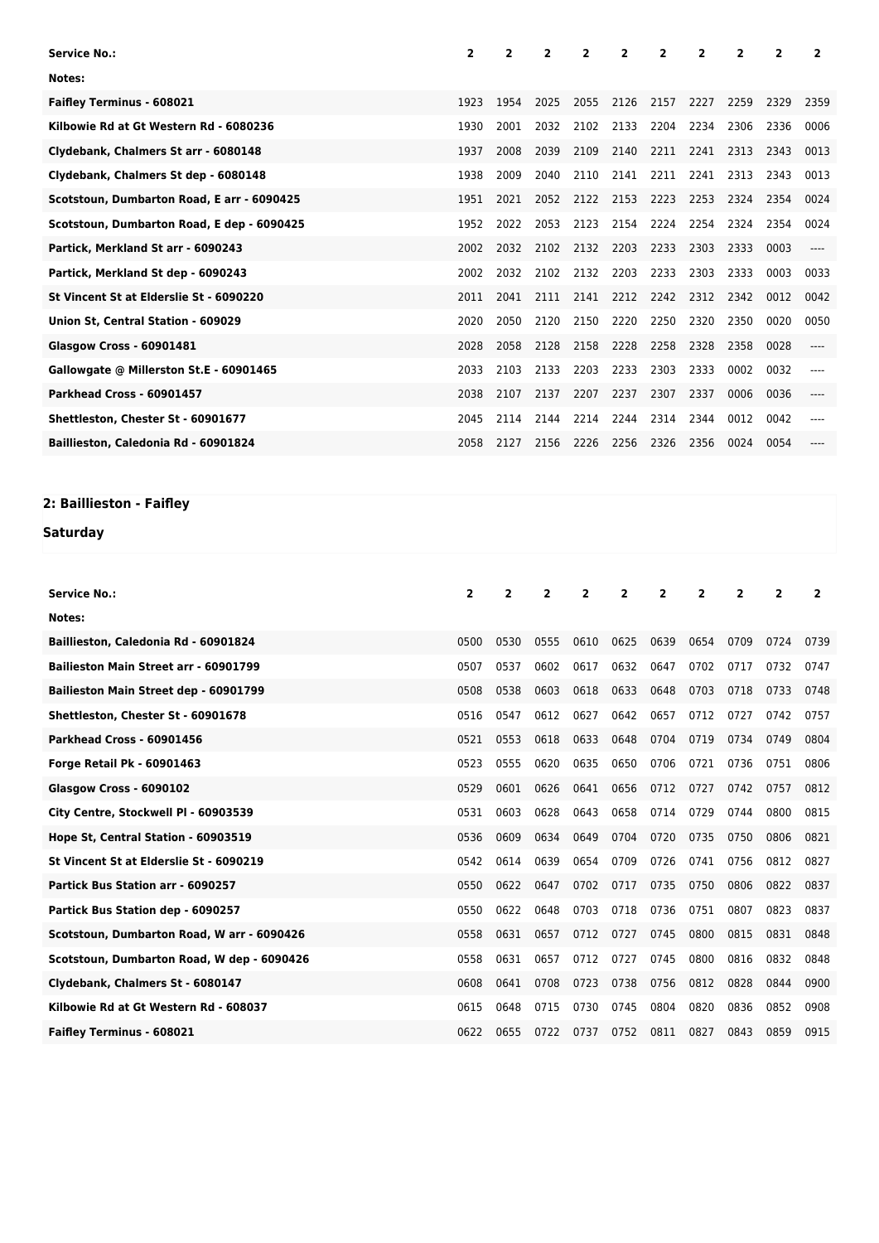| <b>Service No.:</b>                        | $\overline{2}$ | 2    | $\overline{2}$ | $\overline{2}$ | 2    | $\overline{2}$ | $\overline{2}$ | 2    | $\overline{\phantom{a}}$ | 2    |
|--------------------------------------------|----------------|------|----------------|----------------|------|----------------|----------------|------|--------------------------|------|
| Notes:                                     |                |      |                |                |      |                |                |      |                          |      |
| <b>Faifley Terminus - 608021</b>           | 1923           | 1954 | 2025           | 2055           | 2126 | 2157           | 2227           | 2259 | 2329                     | 2359 |
| Kilbowie Rd at Gt Western Rd - 6080236     | 1930           | 2001 | 2032           | 2102           | 2133 | 2204           | 2234           | 2306 | 2336                     | 0006 |
| Clydebank, Chalmers St arr - 6080148       | 1937           | 2008 | 2039           | 2109           | 2140 | 2211           | 2241           | 2313 | 2343                     | 0013 |
| Clydebank, Chalmers St dep - 6080148       | 1938           | 2009 | 2040           | 2110           | 2141 | 2211           | 2241           | 2313 | 2343                     | 0013 |
| Scotstoun, Dumbarton Road, E arr - 6090425 | 1951           | 2021 | 2052           | 2122           | 2153 | 2223           | 2253           | 2324 | 2354                     | 0024 |
| Scotstoun, Dumbarton Road, E dep - 6090425 | 1952           | 2022 | 2053           | 2123           | 2154 | 2224           | 2254           | 2324 | 2354                     | 0024 |
| Partick, Merkland St arr - 6090243         | 2002           | 2032 | 2102           | 2132           | 2203 | 2233           | 2303           | 2333 | 0003                     |      |
| Partick, Merkland St dep - 6090243         | 2002           | 2032 | 2102           | 2132           | 2203 | 2233           | 2303           | 2333 | 0003                     | 0033 |
| St Vincent St at Elderslie St - 6090220    | 2011           | 2041 | 2111           | 2141           | 2212 | 2242           | 2312           | 2342 | 0012                     | 0042 |
| Union St, Central Station - 609029         | 2020           | 2050 | 2120           | 2150           | 2220 | 2250           | 2320           | 2350 | 0020                     | 0050 |
| <b>Glasgow Cross - 60901481</b>            | 2028           | 2058 | 2128           | 2158           | 2228 | 2258           | 2328           | 2358 | 0028                     | ---- |
| Gallowgate @ Millerston St.E - 60901465    | 2033           | 2103 | 2133           | 2203           | 2233 | 2303           | 2333           | 0002 | 0032                     |      |
| Parkhead Cross - 60901457                  | 2038           | 2107 | 2137           | 2207           | 2237 | 2307           | 2337           | 0006 | 0036                     |      |
| Shettleston, Chester St - 60901677         | 2045           | 2114 | 2144           | 2214           | 2244 | 2314           | 2344           | 0012 | 0042                     |      |
| Baillieston, Caledonia Rd - 60901824       | 2058           | 2127 | 2156           | 2226           | 2256 | 2326           | 2356           | 0024 | 0054                     |      |

## **2: Baillieston - Faifley**

## **Saturday**

| <b>Service No.:</b>                          | $\overline{2}$ | $\overline{2}$ | $\overline{2}$ | $\overline{2}$ | $\overline{2}$ | $\overline{2}$ | $\overline{2}$ | 2    | 2    | $\overline{2}$ |
|----------------------------------------------|----------------|----------------|----------------|----------------|----------------|----------------|----------------|------|------|----------------|
| Notes:                                       |                |                |                |                |                |                |                |      |      |                |
| Baillieston, Caledonia Rd - 60901824         | 0500           | 0530           | 0555           | 0610           | 0625           | 0639           | 0654           | 0709 | 0724 | 0739           |
| <b>Bailieston Main Street arr - 60901799</b> | 0507           | 0537           | 0602           | 0617           | 0632           | 0647           | 0702           | 0717 | 0732 | 0747           |
| Bailieston Main Street dep - 60901799        | 0508           | 0538           | 0603           | 0618           | 0633           | 0648           | 0703           | 0718 | 0733 | 0748           |
| Shettleston, Chester St - 60901678           | 0516           | 0547           | 0612           | 0627           | 0642           | 0657           | 0712           | 0727 | 0742 | 0757           |
| Parkhead Cross - 60901456                    | 0521           | 0553           | 0618           | 0633           | 0648           | 0704           | 0719           | 0734 | 0749 | 0804           |
| <b>Forge Retail Pk - 60901463</b>            | 0523           | 0555           | 0620           | 0635           | 0650           | 0706           | 0721           | 0736 | 0751 | 0806           |
| Glasgow Cross - 6090102                      | 0529           | 0601           | 0626           | 0641           | 0656           | 0712           | 0727           | 0742 | 0757 | 0812           |
| City Centre, Stockwell PI - 60903539         | 0531           | 0603           | 0628           | 0643           | 0658           | 0714           | 0729           | 0744 | 0800 | 0815           |
| Hope St, Central Station - 60903519          | 0536           | 0609           | 0634           | 0649           | 0704           | 0720           | 0735           | 0750 | 0806 | 0821           |
| St Vincent St at Elderslie St - 6090219      | 0542           | 0614           | 0639           | 0654           | 0709           | 0726           | 0741           | 0756 | 0812 | 0827           |
| Partick Bus Station arr - 6090257            | 0550           | 0622           | 0647           | 0702           | 0717           | 0735           | 0750           | 0806 | 0822 | 0837           |
| Partick Bus Station dep - 6090257            | 0550           | 0622           | 0648           | 0703           | 0718           | 0736           | 0751           | 0807 | 0823 | 0837           |
| Scotstoun, Dumbarton Road, W arr - 6090426   | 0558           | 0631           | 0657           | 0712           | 0727           | 0745           | 0800           | 0815 | 0831 | 0848           |
| Scotstoun, Dumbarton Road, W dep - 6090426   | 0558           | 0631           | 0657           | 0712           | 0727           | 0745           | 0800           | 0816 | 0832 | 0848           |
| Clydebank, Chalmers St - 6080147             | 0608           | 0641           | 0708           | 0723           | 0738           | 0756           | 0812           | 0828 | 0844 | 0900           |
| Kilbowie Rd at Gt Western Rd - 608037        | 0615           | 0648           | 0715           | 0730           | 0745           | 0804           | 0820           | 0836 | 0852 | 0908           |
| <b>Faifley Terminus - 608021</b>             | 0622           | 0655           | 0722           | 0737           | 0752           | 0811           | 0827           | 0843 | 0859 | 0915           |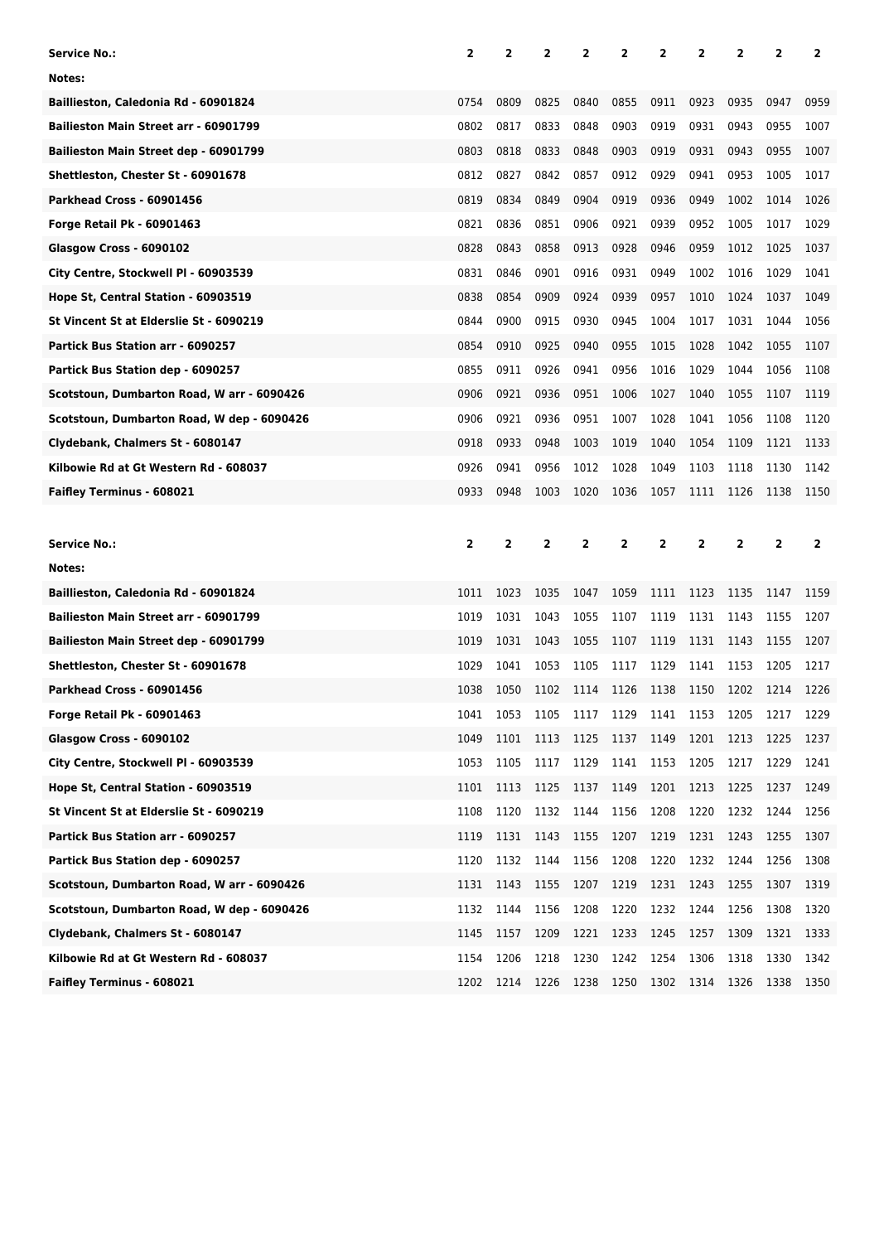| Service No.:                                 | 2            | 2              | 2            | 2              | 2         | 2            | 2              | 2    | 2              | 2              |
|----------------------------------------------|--------------|----------------|--------------|----------------|-----------|--------------|----------------|------|----------------|----------------|
| Notes:                                       |              |                |              |                |           |              |                |      |                |                |
| Baillieston, Caledonia Rd - 60901824         | 0754         | 0809           | 0825         | 0840           | 0855      | 0911         | 0923           | 0935 | 0947           | 0959           |
| Bailieston Main Street arr - 60901799        | 0802         | 0817           | 0833         | 0848           | 0903      | 0919         | 0931           | 0943 | 0955           | 1007           |
| Bailieston Main Street dep - 60901799        | 0803         | 0818           | 0833         | 0848           | 0903      | 0919         | 0931           | 0943 | 0955           | 1007           |
| Shettleston, Chester St - 60901678           | 0812         | 0827           | 0842         | 0857           | 0912      | 0929         | 0941           | 0953 | 1005           | 1017           |
| Parkhead Cross - 60901456                    | 0819         | 0834           | 0849         | 0904           | 0919      | 0936         | 0949           | 1002 | 1014           | 1026           |
| Forge Retail Pk - 60901463                   | 0821         | 0836           | 0851         | 0906           | 0921      | 0939         | 0952           | 1005 | 1017           | 1029           |
| Glasgow Cross - 6090102                      | 0828         | 0843           | 0858         | 0913           | 0928      | 0946         | 0959           | 1012 | 1025           | 1037           |
| City Centre, Stockwell PI - 60903539         | 0831         | 0846           | 0901         | 0916           | 0931      | 0949         | 1002           | 1016 | 1029           | 1041           |
| Hope St, Central Station - 60903519          | 0838         | 0854           | 0909         | 0924           | 0939      | 0957         | 1010           | 1024 | 1037           | 1049           |
| St Vincent St at Elderslie St - 6090219      | 0844         | 0900           | 0915         | 0930           | 0945      | 1004         | 1017           | 1031 | 1044           | 1056           |
| Partick Bus Station arr - 6090257            | 0854         | 0910           | 0925         | 0940           | 0955      | 1015         | 1028           | 1042 | 1055           | 1107           |
| Partick Bus Station dep - 6090257            | 0855         | 0911           | 0926         | 0941           | 0956      | 1016         | 1029           | 1044 | 1056           | 1108           |
| Scotstoun, Dumbarton Road, W arr - 6090426   | 0906         | 0921           | 0936         | 0951           | 1006      | 1027         | 1040           | 1055 | 1107           | 1119           |
| Scotstoun, Dumbarton Road, W dep - 6090426   | 0906         | 0921           | 0936         | 0951           | 1007      | 1028         | 1041           | 1056 | 1108           | 1120           |
| Clydebank, Chalmers St - 6080147             | 0918         | 0933           | 0948         | 1003           | 1019      | 1040         | 1054           | 1109 | 1121           | 1133           |
| Kilbowie Rd at Gt Western Rd - 608037        | 0926         | 0941           | 0956         | 1012           | 1028      | 1049         | 1103           | 1118 | 1130           | 1142           |
| Faifley Terminus - 608021                    | 0933         | 0948           | 1003         | 1020           | 1036      | 1057         | 1111           | 1126 | 1138           | 1150           |
|                                              |              |                |              |                |           |              |                |      |                |                |
|                                              |              |                |              |                |           |              |                |      |                |                |
| Service No.:                                 | $\mathbf{2}$ | $\overline{2}$ | $\mathbf{z}$ | $\overline{2}$ | 2         | $\mathbf{2}$ | $\overline{2}$ | 2    | $\overline{2}$ | $\overline{2}$ |
| Notes:                                       |              |                |              |                |           |              |                |      |                |                |
| Baillieston, Caledonia Rd - 60901824         | 1011         | 1023           | 1035         | 1047           | 1059      | 1111         | 1123           | 1135 | 1147           | 1159           |
| <b>Bailieston Main Street arr - 60901799</b> | 1019         | 1031           | 1043         | 1055           | 1107      | 1119         | 1131           | 1143 | 1155           | 1207           |
| Bailieston Main Street dep - 60901799        | 1019         | 1031           | 1043         | 1055           | 1107      | 1119         | 1131           | 1143 | 1155           | 1207           |
| Shettleston, Chester St - 60901678           | 1029         | 1041           | 1053         | 1105           | 1117      | 1129         | 1141           | 1153 | 1205           | 1217           |
| Parkhead Cross - 60901456                    | 1038         | 1050           | 1102         | 1114           | 1126      | 1138         | 1150           | 1202 | 1214           | 1226           |
| Forge Retail Pk - 60901463                   | 1041         | 1053           | 1105         | 1117           | 1129 1141 |              | 1153           | 1205 | 1217           | 1229           |
| Glasgow Cross - 6090102                      | 1049         | 1101           | 1113         | 1125           | 1137      | 1149         | 1201           | 1213 | 1225           | 1237           |
| City Centre, Stockwell Pl - 60903539         | 1053         | 1105           | 1117         | 1129           | 1141      | 1153         | 1205           | 1217 | 1229           | 1241           |
| Hope St, Central Station - 60903519          | 1101         | 1113           | 1125         | 1137           | 1149      | 1201         | 1213           | 1225 | 1237           | 1249           |
| St Vincent St at Elderslie St - 6090219      | 1108         | 1120           | 1132         | 1144           | 1156      | 1208         | 1220           | 1232 | 1244           | 1256           |
| Partick Bus Station arr - 6090257            | 1119         | 1131           | 1143         | 1155           | 1207      | 1219         | 1231           | 1243 | 1255           | 1307           |
| Partick Bus Station dep - 6090257            | 1120         | 1132           | 1144         | 1156           | 1208      | 1220         | 1232           | 1244 | 1256           | 1308           |
| Scotstoun, Dumbarton Road, W arr - 6090426   | 1131         | 1143           | 1155         | 1207           | 1219      | 1231         | 1243           | 1255 | 1307           | 1319           |
| Scotstoun, Dumbarton Road, W dep - 6090426   | 1132         | 1144           | 1156         | 1208           | 1220      | 1232         | 1244           | 1256 | 1308           | 1320           |
| Clydebank, Chalmers St - 6080147             | 1145         | 1157           | 1209         | 1221           | 1233      | 1245         | 1257           | 1309 | 1321           | 1333           |
| Kilbowie Rd at Gt Western Rd - 608037        | 1154         | 1206           | 1218         | 1230           | 1242      | 1254         | 1306           | 1318 | 1330           | 1342           |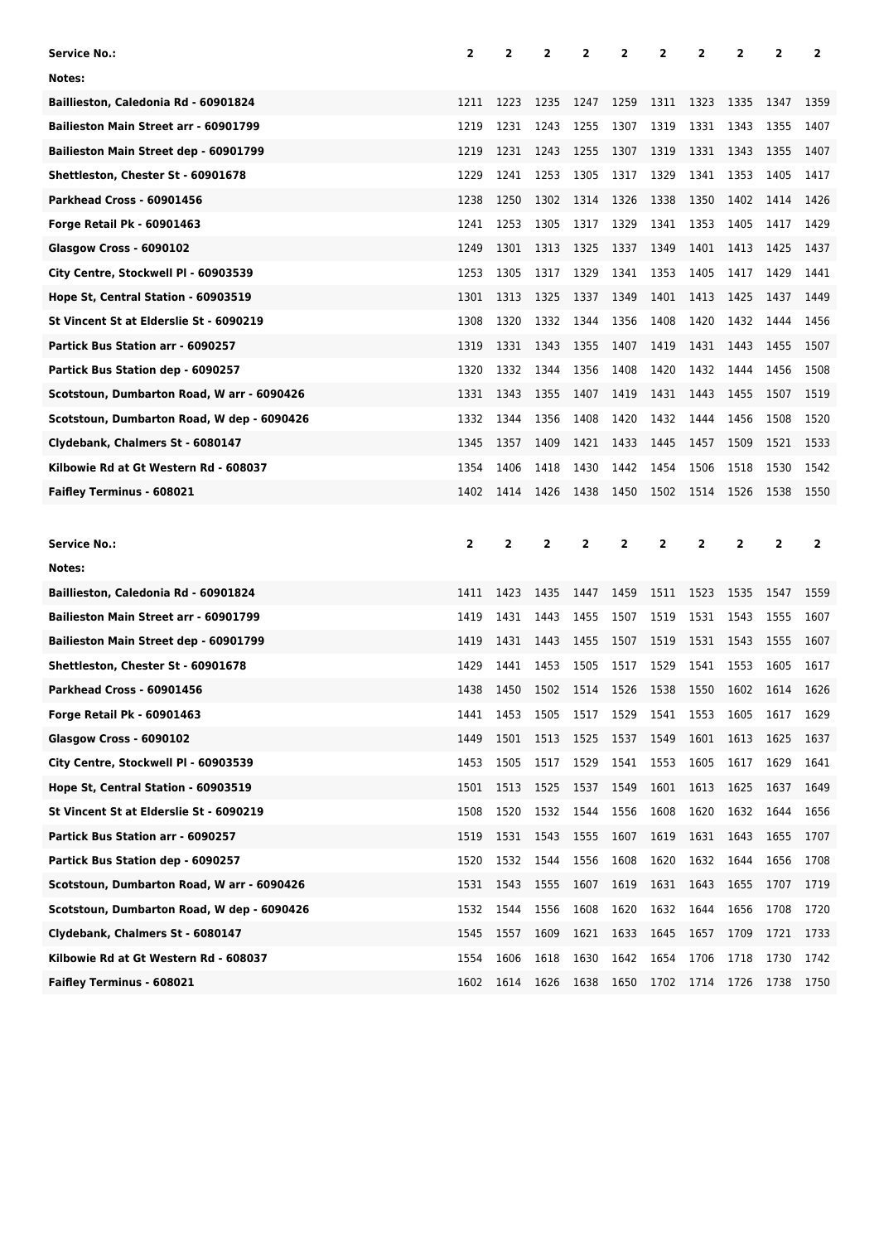| Service No.:                               | 2              | 2              | 2            | 2            | 2         | 2            | 2              | 2              | 2              | 2              |
|--------------------------------------------|----------------|----------------|--------------|--------------|-----------|--------------|----------------|----------------|----------------|----------------|
| Notes:                                     |                |                |              |              |           |              |                |                |                |                |
| Baillieston, Caledonia Rd - 60901824       | 1211           | 1223           | 1235         | 1247         | 1259      | 1311         | 1323           | 1335           | 1347           | 1359           |
| Bailieston Main Street arr - 60901799      | 1219           | 1231           | 1243         | 1255         | 1307      | 1319         | 1331           | 1343           | 1355           | 1407           |
| Bailieston Main Street dep - 60901799      | 1219           | 1231           | 1243         | 1255         | 1307      | 1319         | 1331           | 1343           | 1355           | 1407           |
| Shettleston, Chester St - 60901678         | 1229           | 1241           | 1253         | 1305         | 1317      | 1329         | 1341           | 1353           | 1405           | 1417           |
| Parkhead Cross - 60901456                  | 1238           | 1250           | 1302         | 1314         | 1326      | 1338         | 1350           | 1402           | 1414           | 1426           |
| Forge Retail Pk - 60901463                 | 1241           | 1253           | 1305         | 1317         | 1329      | 1341         | 1353           | 1405           | 1417           | 1429           |
| Glasgow Cross - 6090102                    | 1249           | 1301           | 1313         | 1325         | 1337      | 1349         | 1401           | 1413           | 1425           | 1437           |
| City Centre, Stockwell PI - 60903539       | 1253           | 1305           | 1317         | 1329         | 1341      | 1353         | 1405           | 1417           | 1429           | 1441           |
| Hope St, Central Station - 60903519        | 1301           | 1313           | 1325         | 1337         | 1349      | 1401         | 1413           | 1425           | 1437           | 1449           |
| St Vincent St at Elderslie St - 6090219    | 1308           | 1320           | 1332         | 1344         | 1356      | 1408         | 1420           | 1432           | 1444           | 1456           |
| Partick Bus Station arr - 6090257          | 1319           | 1331           | 1343         | 1355         | 1407      | 1419         | 1431           | 1443           | 1455           | 1507           |
| Partick Bus Station dep - 6090257          | 1320           | 1332           | 1344         | 1356         | 1408      | 1420         | 1432           | 1444           | 1456           | 1508           |
| Scotstoun, Dumbarton Road, W arr - 6090426 | 1331           | 1343           | 1355         | 1407         | 1419      | 1431         | 1443           | 1455           | 1507           | 1519           |
| Scotstoun, Dumbarton Road, W dep - 6090426 | 1332           | 1344           | 1356         | 1408         | 1420      | 1432         | 1444           | 1456           | 1508           | 1520           |
| Clydebank, Chalmers St - 6080147           | 1345           | 1357           | 1409         | 1421         | 1433      | 1445         | 1457           | 1509           | 1521           | 1533           |
| Kilbowie Rd at Gt Western Rd - 608037      | 1354           | 1406           | 1418         | 1430         | 1442      | 1454         | 1506           | 1518           | 1530           | 1542           |
| Faifley Terminus - 608021                  | 1402           | 1414           | 1426         | 1438         | 1450      | 1502         | 1514           | 1526           | 1538           | 1550           |
|                                            |                |                |              |              |           |              |                |                |                |                |
|                                            |                |                |              |              |           |              |                |                |                |                |
| Service No.:                               | $\overline{2}$ | $\overline{2}$ | $\mathbf{z}$ | $\mathbf{2}$ | 2         | $\mathbf{2}$ | $\overline{2}$ | $\overline{2}$ | $\overline{2}$ | $\overline{2}$ |
| Notes:                                     |                |                |              |              |           |              |                |                |                |                |
| Baillieston, Caledonia Rd - 60901824       | 1411           | 1423           | 1435         | 1447         | 1459      | 1511         | 1523           | 1535           | 1547           | 1559           |
| Bailieston Main Street arr - 60901799      | 1419           | 1431           | 1443         | 1455         | 1507      | 1519         | 1531           | 1543           | 1555           | 1607           |
| Bailieston Main Street dep - 60901799      | 1419           | 1431           | 1443         | 1455         | 1507      | 1519         | 1531           | 1543           | 1555           | 1607           |
| Shettleston, Chester St - 60901678         | 1429           | 1441           | 1453         | 1505         | 1517      | 1529         | 1541           | 1553           | 1605           | 1617           |
| Parkhead Cross - 60901456                  | 1438           | 1450           | 1502         | 1514         | 1526      | 1538         | 1550           | 1602           | 1614           | 1626           |
| Forge Retail Pk - 60901463                 | 1441           | 1453           | 1505         | 1517         | 1529 1541 |              | 1553           | 1605           | 1617           | 1629           |
| Glasgow Cross - 6090102                    | 1449           | 1501           | 1513         | 1525         | 1537      | 1549         | 1601           | 1613           | 1625           | 1637           |
| City Centre, Stockwell Pl - 60903539       | 1453           | 1505           | 1517         | 1529         | 1541      | 1553         | 1605           | 1617           | 1629           | 1641           |
| Hope St, Central Station - 60903519        | 1501           | 1513           | 1525         | 1537         | 1549      | 1601         | 1613           | 1625           | 1637           | 1649           |
| St Vincent St at Elderslie St - 6090219    | 1508           | 1520           | 1532         | 1544         | 1556      | 1608         | 1620           | 1632           | 1644           | 1656           |
| Partick Bus Station arr - 6090257          | 1519           | 1531           | 1543         | 1555         | 1607      | 1619         | 1631           | 1643           | 1655           | 1707           |
| Partick Bus Station dep - 6090257          | 1520           | 1532           | 1544         | 1556         | 1608      | 1620         | 1632           | 1644           | 1656           | 1708           |
| Scotstoun, Dumbarton Road, W arr - 6090426 | 1531           | 1543           | 1555         | 1607         | 1619      | 1631         | 1643           | 1655           | 1707           | 1719           |
| Scotstoun, Dumbarton Road, W dep - 6090426 | 1532           | 1544           | 1556         | 1608         | 1620      | 1632         | 1644           | 1656           | 1708           | 1720           |
| Clydebank, Chalmers St - 6080147           | 1545           | 1557           | 1609         | 1621         | 1633      | 1645         | 1657           | 1709           | 1721           | 1733           |
| Kilbowie Rd at Gt Western Rd - 608037      | 1554           | 1606           | 1618         | 1630         | 1642      | 1654         | 1706           | 1718           | 1730           | 1742           |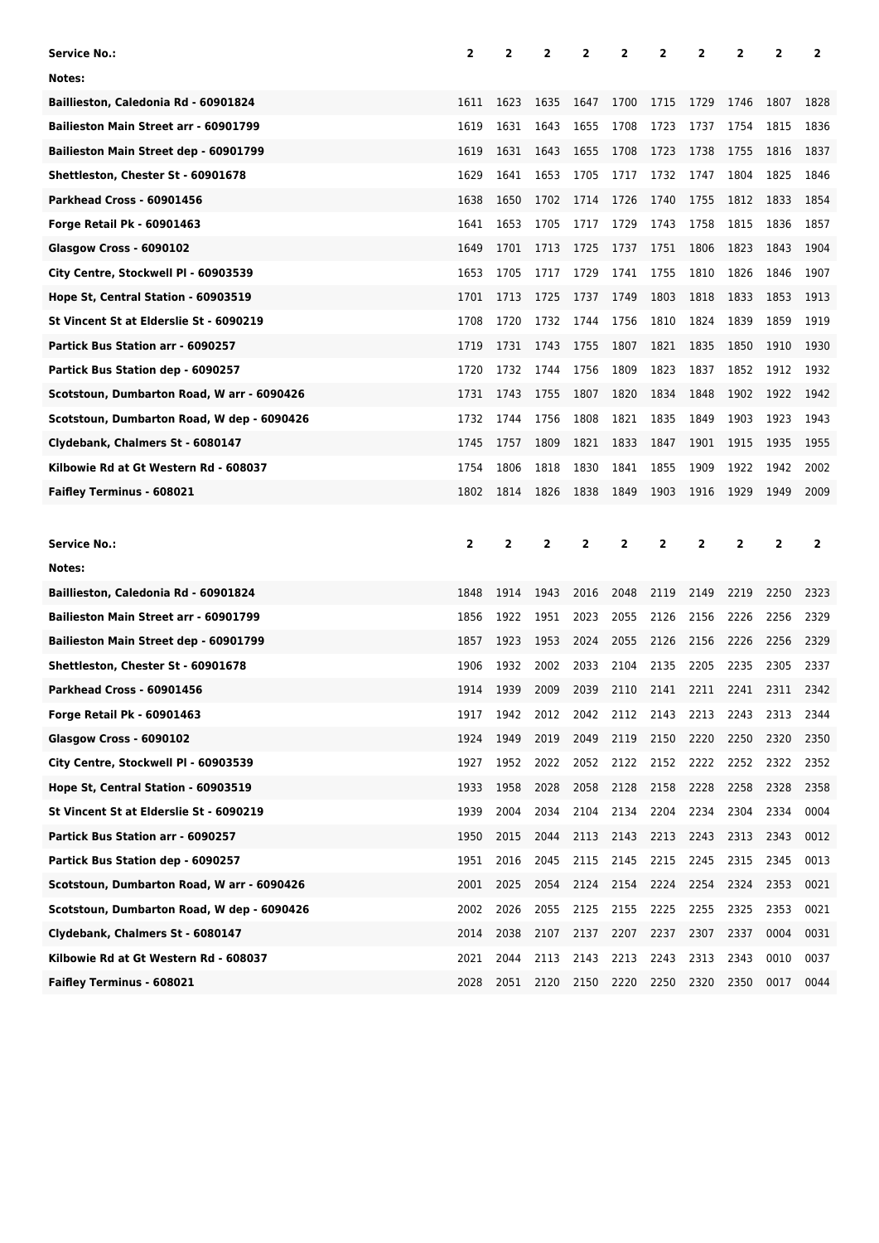| <b>Service No.:</b>                        | 2            | 2              | $\overline{2}$ | 2    | 2            | 2              | 2    | 2              | 2              | 2            |
|--------------------------------------------|--------------|----------------|----------------|------|--------------|----------------|------|----------------|----------------|--------------|
| Notes:                                     |              |                |                |      |              |                |      |                |                |              |
| Baillieston, Caledonia Rd - 60901824       | 1611         | 1623           | 1635           | 1647 | 1700         | 1715           | 1729 | 1746           | 1807           | 1828         |
| Bailieston Main Street arr - 60901799      | 1619         | 1631           | 1643           | 1655 | 1708         | 1723           | 1737 | 1754           | 1815           | 1836         |
| Bailieston Main Street dep - 60901799      | 1619         | 1631           | 1643           | 1655 | 1708         | 1723           | 1738 | 1755           | 1816           | 1837         |
| Shettleston, Chester St - 60901678         | 1629         | 1641           | 1653           | 1705 | 1717         | 1732           | 1747 | 1804           | 1825           | 1846         |
| Parkhead Cross - 60901456                  | 1638         | 1650           | 1702           | 1714 | 1726         | 1740           | 1755 | 1812           | 1833           | 1854         |
| <b>Forge Retail Pk - 60901463</b>          | 1641         | 1653           | 1705           | 1717 | 1729         | 1743           | 1758 | 1815           | 1836           | 1857         |
| Glasgow Cross - 6090102                    | 1649         | 1701           | 1713           | 1725 | 1737         | 1751           | 1806 | 1823           | 1843           | 1904         |
| City Centre, Stockwell PI - 60903539       | 1653         | 1705           | 1717           | 1729 | 1741         | 1755           | 1810 | 1826           | 1846           | 1907         |
| Hope St, Central Station - 60903519        | 1701         | 1713           | 1725           | 1737 | 1749         | 1803           | 1818 | 1833           | 1853           | 1913         |
| St Vincent St at Elderslie St - 6090219    | 1708         | 1720           | 1732           | 1744 | 1756         | 1810           | 1824 | 1839           | 1859           | 1919         |
| Partick Bus Station arr - 6090257          | 1719         | 1731           | 1743           | 1755 | 1807         | 1821           | 1835 | 1850           | 1910           | 1930         |
| Partick Bus Station dep - 6090257          | 1720         | 1732           | 1744           | 1756 | 1809         | 1823           | 1837 | 1852           | 1912           | 1932         |
| Scotstoun, Dumbarton Road, W arr - 6090426 | 1731         | 1743           | 1755           | 1807 | 1820         | 1834           | 1848 | 1902           | 1922           | 1942         |
| Scotstoun, Dumbarton Road, W dep - 6090426 | 1732         | 1744           | 1756           | 1808 | 1821         | 1835           | 1849 | 1903           | 1923           | 1943         |
| Clydebank, Chalmers St - 6080147           | 1745         | 1757           | 1809           | 1821 | 1833         | 1847           | 1901 | 1915           | 1935           | 1955         |
| Kilbowie Rd at Gt Western Rd - 608037      | 1754         | 1806           | 1818           | 1830 | 1841         | 1855           | 1909 | 1922           | 1942           | 2002         |
| Faifley Terminus - 608021                  | 1802         | 1814           | 1826           | 1838 | 1849         | 1903           | 1916 | 1929           | 1949           | 2009         |
|                                            |              |                |                |      |              |                |      |                |                |              |
|                                            |              |                |                |      |              |                |      |                |                |              |
| Service No.:                               | $\mathbf{2}$ | $\overline{2}$ | $\overline{2}$ | 2    | $\mathbf{2}$ | $\overline{2}$ | 2    | $\overline{2}$ | $\overline{2}$ | $\mathbf{2}$ |
| Notes:                                     |              |                |                |      |              |                |      |                |                |              |
| Baillieston, Caledonia Rd - 60901824       | 1848         | 1914           | 1943           | 2016 | 2048         | 2119           | 2149 | 2219           | 2250           | 2323         |
| Bailieston Main Street arr - 60901799      | 1856         | 1922           | 1951           | 2023 | 2055         | 2126           | 2156 | 2226           | 2256           | 2329         |
| Bailieston Main Street dep - 60901799      | 1857         | 1923           | 1953           | 2024 | 2055         | 2126           | 2156 | 2226           | 2256           | 2329         |
| Shettleston, Chester St - 60901678         | 1906         | 1932           | 2002           | 2033 | 2104         | 2135           | 2205 | 2235           | 2305           | 2337         |
| Parkhead Cross - 60901456                  | 1914         | 1939           | 2009           | 2039 | 2110         | 2141           | 2211 | 2241           | 2311           | 2342         |
| <b>Forge Retail Pk - 60901463</b>          | 1917         | 1942           | 2012           | 2042 | 2112         | 2143           | 2213 | 2243           | 2313           | 2344         |
| Glasgow Cross - 6090102                    | 1924         | 1949           | 2019           | 2049 | 2119         | 2150           | 2220 | 2250           | 2320           | 2350         |
| City Centre, Stockwell PI - 60903539       | 1927         | 1952           | 2022           | 2052 | 2122         | 2152           | 2222 | 2252           | 2322           | 2352         |
| Hope St, Central Station - 60903519        | 1933         | 1958           | 2028           | 2058 | 2128         | 2158           | 2228 | 2258           | 2328           | 2358         |
| St Vincent St at Elderslie St - 6090219    | 1939         | 2004           | 2034           | 2104 | 2134         | 2204           | 2234 | 2304           | 2334           | 0004         |
| Partick Bus Station arr - 6090257          | 1950         | 2015           | 2044           | 2113 | 2143         | 2213           | 2243 | 2313           | 2343           | 0012         |
| Partick Bus Station dep - 6090257          | 1951         | 2016           | 2045           | 2115 | 2145         | 2215           | 2245 | 2315           | 2345           | 0013         |
| Scotstoun, Dumbarton Road, W arr - 6090426 | 2001         | 2025           | 2054           | 2124 | 2154         | 2224           | 2254 | 2324           | 2353           | 0021         |
| Scotstoun, Dumbarton Road, W dep - 6090426 | 2002         | 2026           | 2055           | 2125 | 2155         | 2225           | 2255 | 2325           | 2353           | 0021         |
| Clydebank, Chalmers St - 6080147           | 2014         | 2038           | 2107           | 2137 | 2207         | 2237           | 2307 | 2337           | 0004           | 0031         |
| Kilbowie Rd at Gt Western Rd - 608037      | 2021         | 2044           | 2113           | 2143 | 2213         | 2243           | 2313 | 2343           | 0010           | 0037         |